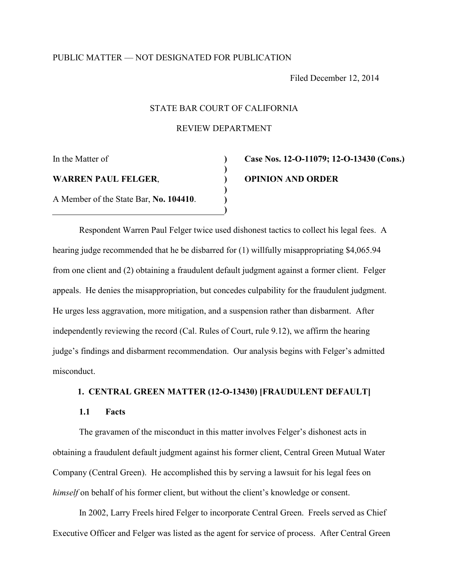# PUBLIC MATTER — NOT DESIGNATED FOR PUBLICATION

Filed December 12, 2014

## STATE BAR COURT OF CALIFORNIA

REVIEW DEPARTMENT

**) ) ) ) ) )** 

In the Matter of

**WARREN PAUL FELGER**,

A Member of the State Bar, **No. 104410**.

# **Case Nos. 12-O-11079; 12-O-13430 (Cons.) OPINION AND ORDER**

Respondent Warren Paul Felger twice used dishonest tactics to collect his legal fees. A hearing judge recommended that he be disbarred for (1) willfully misappropriating \$4,065.94 from one client and (2) obtaining a fraudulent default judgment against a former client. Felger appeals. He denies the misappropriation, but concedes culpability for the fraudulent judgment. He urges less aggravation, more mitigation, and a suspension rather than disbarment. After independently reviewing the record (Cal. Rules of Court, rule 9.12), we affirm the hearing judge's findings and disbarment recommendation. Our analysis begins with Felger's admitted misconduct.

# **1. CENTRAL GREEN MATTER (12-O-13430) [FRAUDULENT DEFAULT]**

# **1.1 Facts**

 The gravamen of the misconduct in this matter involves Felger's dishonest acts in obtaining a fraudulent default judgment against his former client, Central Green Mutual Water Company (Central Green). He accomplished this by serving a lawsuit for his legal fees on *himself* on behalf of his former client, but without the client's knowledge or consent.

 In 2002, Larry Freels hired Felger to incorporate Central Green. Freels served as Chief Executive Officer and Felger was listed as the agent for service of process. After Central Green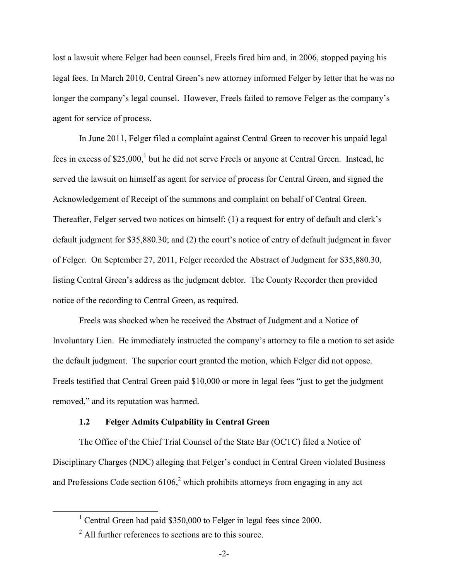lost a lawsuit where Felger had been counsel, Freels fired him and, in 2006, stopped paying his legal fees. In March 2010, Central Green's new attorney informed Felger by letter that he was no longer the company's legal counsel. However, Freels failed to remove Felger as the company's agent for service of process.

 In June 2011, Felger filed a complaint against Central Green to recover his unpaid legal fees in excess of \$25,000,<sup>[1](#page-1-0)</sup> but he did not serve Freels or anyone at Central Green. Instead, he served the lawsuit on himself as agent for service of process for Central Green, and signed the Acknowledgement of Receipt of the summons and complaint on behalf of Central Green. Thereafter, Felger served two notices on himself: (1) a request for entry of default and clerk's default judgment for \$35,880.30; and (2) the court's notice of entry of default judgment in favor of Felger. On September 27, 2011, Felger recorded the Abstract of Judgment for \$35,880.30, listing Central Green's address as the judgment debtor. The County Recorder then provided notice of the recording to Central Green, as required.

Freels was shocked when he received the Abstract of Judgment and a Notice of Involuntary Lien. He immediately instructed the company's attorney to file a motion to set aside the default judgment. The superior court granted the motion, which Felger did not oppose. Freels testified that Central Green paid \$10,000 or more in legal fees "just to get the judgment removed," and its reputation was harmed.

## **1.2 Felger Admits Culpability in Central Green**

 The Office of the Chief Trial Counsel of the State Bar (OCTC) filed a Notice of Disciplinary Charges (NDC) alleging that Felger's conduct in Central Green violated Business and Professions Code section  $6106<sup>2</sup>$  $6106<sup>2</sup>$  $6106<sup>2</sup>$  which prohibits attorneys from engaging in any act

<span id="page-1-0"></span><sup>&</sup>lt;sup>1</sup> Central Green had paid \$350,000 to Felger in legal fees since 2000.

<span id="page-1-1"></span><sup>2</sup> All further references to sections are to this source.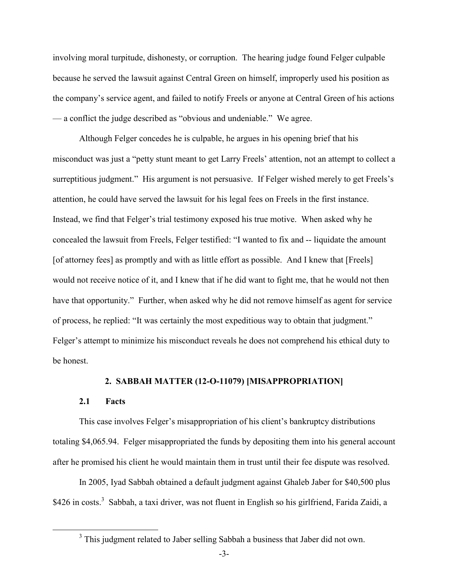involving moral turpitude, dishonesty, or corruption. The hearing judge found Felger culpable because he served the lawsuit against Central Green on himself, improperly used his position as the company's service agent, and failed to notify Freels or anyone at Central Green of his actions — a conflict the judge described as "obvious and undeniable." We agree.

 Although Felger concedes he is culpable, he argues in his opening brief that his misconduct was just a "petty stunt meant to get Larry Freels' attention, not an attempt to collect a surreptitious judgment." His argument is not persuasive. If Felger wished merely to get Freels's attention, he could have served the lawsuit for his legal fees on Freels in the first instance. Instead, we find that Felger's trial testimony exposed his true motive. When asked why he concealed the lawsuit from Freels, Felger testified: "I wanted to fix and -- liquidate the amount [of attorney fees] as promptly and with as little effort as possible. And I knew that [Freels] would not receive notice of it, and I knew that if he did want to fight me, that he would not then have that opportunity." Further, when asked why he did not remove himself as agent for service of process, he replied: "It was certainly the most expeditious way to obtain that judgment." Felger's attempt to minimize his misconduct reveals he does not comprehend his ethical duty to be honest.

## **2. SABBAH MATTER (12-O-11079) [MISAPPROPRIATION]**

#### **2.1 Facts**

This case involves Felger's misappropriation of his client's bankruptcy distributions totaling \$4,065.94. Felger misappropriated the funds by depositing them into his general account after he promised his client he would maintain them in trust until their fee dispute was resolved.

 In 2005, Iyad Sabbah obtained a default judgment against Ghaleb Jaber for \$40,500 plus \$426 in costs.<sup>[3](#page-2-0)</sup> Sabbah, a taxi driver, was not fluent in English so his girlfriend, Farida Zaidi, a

<span id="page-2-0"></span><sup>&</sup>lt;sup>3</sup> This judgment related to Jaber selling Sabbah a business that Jaber did not own.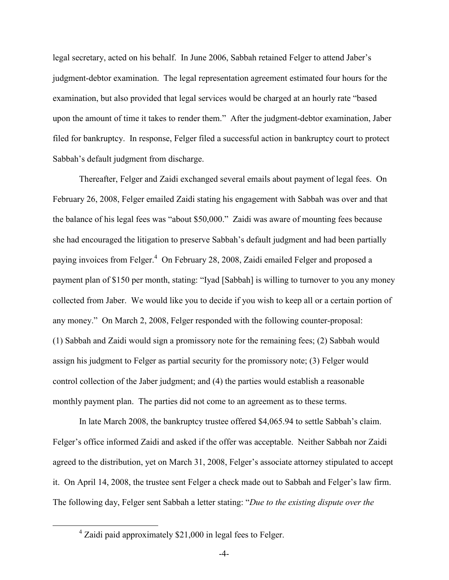legal secretary, acted on his behalf. In June 2006, Sabbah retained Felger to attend Jaber's judgment-debtor examination. The legal representation agreement estimated four hours for the examination, but also provided that legal services would be charged at an hourly rate "based upon the amount of time it takes to render them." After the judgment-debtor examination, Jaber filed for bankruptcy. In response, Felger filed a successful action in bankruptcy court to protect Sabbah's default judgment from discharge.

Thereafter, Felger and Zaidi exchanged several emails about payment of legal fees. On February 26, 2008, Felger emailed Zaidi stating his engagement with Sabbah was over and that the balance of his legal fees was "about \$50,000." Zaidi was aware of mounting fees because she had encouraged the litigation to preserve Sabbah's default judgment and had been partially paying invoices from Felger.<sup>[4](#page-3-0)</sup> On February 28, 2008, Zaidi emailed Felger and proposed a payment plan of \$150 per month, stating: "Iyad [Sabbah] is willing to turnover to you any money collected from Jaber. We would like you to decide if you wish to keep all or a certain portion of any money." On March 2, 2008, Felger responded with the following counter-proposal: (1) Sabbah and Zaidi would sign a promissory note for the remaining fees; (2) Sabbah would assign his judgment to Felger as partial security for the promissory note; (3) Felger would control collection of the Jaber judgment; and (4) the parties would establish a reasonable monthly payment plan. The parties did not come to an agreement as to these terms.

In late March 2008, the bankruptcy trustee offered \$4,065.94 to settle Sabbah's claim. Felger's office informed Zaidi and asked if the offer was acceptable. Neither Sabbah nor Zaidi agreed to the distribution, yet on March 31, 2008, Felger's associate attorney stipulated to accept it. On April 14, 2008, the trustee sent Felger a check made out to Sabbah and Felger's law firm. The following day, Felger sent Sabbah a letter stating: "*Due to the existing dispute over the* 

<span id="page-3-0"></span> <sup>4</sup> Zaidi paid approximately \$21,000 in legal fees to Felger.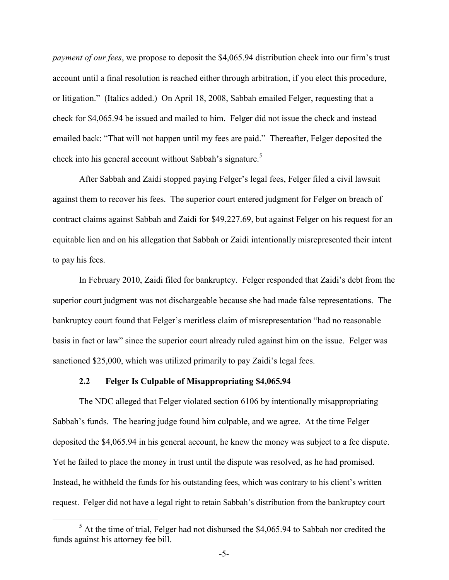*payment of our fees*, we propose to deposit the \$4,065.94 distribution check into our firm's trust account until a final resolution is reached either through arbitration, if you elect this procedure, or litigation." (Italics added.) On April 18, 2008, Sabbah emailed Felger, requesting that a check for \$4,065.94 be issued and mailed to him. Felger did not issue the check and instead emailed back: "That will not happen until my fees are paid." Thereafter, Felger deposited the check into his general account without Sabbah's signature.<sup>5</sup>

After Sabbah and Zaidi stopped paying Felger's legal fees, Felger filed a civil lawsuit against them to recover his fees. The superior court entered judgment for Felger on breach of contract claims against Sabbah and Zaidi for \$49,227.69, but against Felger on his request for an equitable lien and on his allegation that Sabbah or Zaidi intentionally misrepresented their intent to pay his fees.

 In February 2010, Zaidi filed for bankruptcy. Felger responded that Zaidi's debt from the superior court judgment was not dischargeable because she had made false representations. The bankruptcy court found that Felger's meritless claim of misrepresentation "had no reasonable basis in fact or law" since the superior court already ruled against him on the issue. Felger was sanctioned \$25,000, which was utilized primarily to pay Zaidi's legal fees.

### **2.2 Felger Is Culpable of Misappropriating \$4,065.94**

The NDC alleged that Felger violated section 6106 by intentionally misappropriating Sabbah's funds. The hearing judge found him culpable, and we agree. At the time Felger deposited the \$4,065.94 in his general account, he knew the money was subject to a fee dispute. Yet he failed to place the money in trust until the dispute was resolved, as he had promised. Instead, he withheld the funds for his outstanding fees, which was contrary to his client's written request. Felger did not have a legal right to retain Sabbah's distribution from the bankruptcy court

<span id="page-4-0"></span> $<sup>5</sup>$  At the time of trial, Felger had not disbursed the \$4,065.94 to Sabbah nor credited the</sup> funds against his attorney fee bill.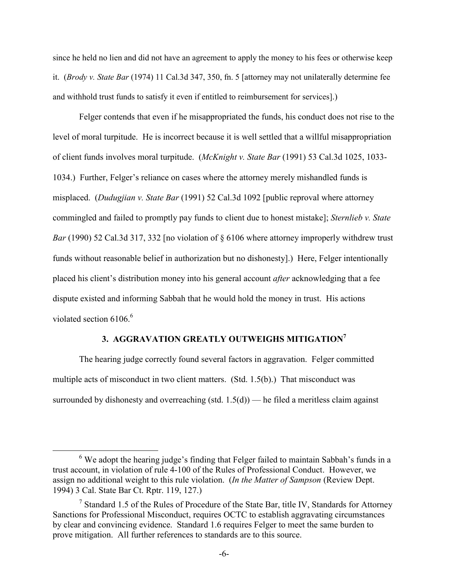since he held no lien and did not have an agreement to apply the money to his fees or otherwise keep it. (*Brody v. State Bar* (1974) 11 Cal.3d 347, 350, fn. 5 [attorney may not unilaterally determine fee and withhold trust funds to satisfy it even if entitled to reimbursement for services].)

Felger contends that even if he misappropriated the funds, his conduct does not rise to the level of moral turpitude. He is incorrect because it is well settled that a willful misappropriation of client funds involves moral turpitude. (*McKnight v. State Bar* (1991) 53 Cal.3d 1025, 1033- 1034.) Further, Felger's reliance on cases where the attorney merely mishandled funds is misplaced. (*Dudugjian v. State Bar* (1991) 52 Cal.3d 1092 [public reproval where attorney commingled and failed to promptly pay funds to client due to honest mistake]; *Sternlieb v. State Bar* (1990) 52 Cal.3d 317, 332 [no violation of § 6106 where attorney improperly withdrew trust funds without reasonable belief in authorization but no dishonesty].) Here, Felger intentionally placed his client's distribution money into his general account *after* acknowledging that a fee dispute existed and informing Sabbah that he would hold the money in trust. His actions violatedsection 6106.<sup>6</sup>

## **3. AGGRAVATION GREATLY OUTWEIGHS MITIGATION[7](#page-5-1)**

 The hearing judge correctly found several factors in aggravation. Felger committed multiple acts of misconduct in two client matters. (Std. 1.5(b).) That misconduct was surrounded by dishonesty and overreaching (std.  $1.5(d)$ ) — he filed a meritless claim against

<span id="page-5-0"></span> $6$  We adopt the hearing judge's finding that Felger failed to maintain Sabbah's funds in a trust account, in violation of rule 4-100 of the Rules of Professional Conduct. However, we assign no additional weight to this rule violation. (*In the Matter of Sampson* (Review Dept. 1994) 3 Cal. State Bar Ct. Rptr. 119, 127.)

<span id="page-5-1"></span><sup>&</sup>lt;sup>7</sup> Standard 1.5 of the Rules of Procedure of the State Bar, title IV, Standards for Attorney Sanctions for Professional Misconduct, requires OCTC to establish aggravating circumstances by clear and convincing evidence. Standard 1.6 requires Felger to meet the same burden to prove mitigation. All further references to standards are to this source.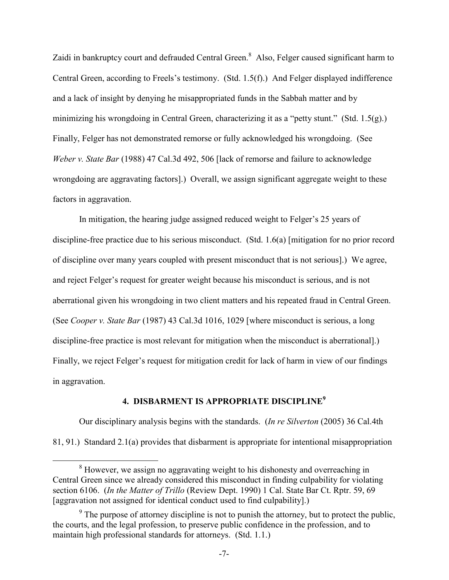Zaidiin bankruptcy court and defrauded Central Green.<sup>8</sup> Also, Felger caused significant harm to Central Green, according to Freels's testimony. (Std. 1.5(f).) And Felger displayed indifference and a lack of insight by denying he misappropriated funds in the Sabbah matter and by minimizing his wrongdoing in Central Green, characterizing it as a "petty stunt." (Std. 1.5(g).) Finally, Felger has not demonstrated remorse or fully acknowledged his wrongdoing. (See *Weber v. State Bar* (1988) 47 Cal.3d 492, 506 [lack of remorse and failure to acknowledge wrongdoing are aggravating factors].) Overall, we assign significant aggregate weight to these factors in aggravation.

 In mitigation, the hearing judge assigned reduced weight to Felger's 25 years of discipline-free practice due to his serious misconduct. (Std. 1.6(a) [mitigation for no prior record of discipline over many years coupled with present misconduct that is not serious].) We agree, and reject Felger's request for greater weight because his misconduct is serious, and is not aberrational given his wrongdoing in two client matters and his repeated fraud in Central Green. (See *Cooper v. State Bar* (1987) 43 Cal.3d 1016, 1029 [where misconduct is serious, a long discipline-free practice is most relevant for mitigation when the misconduct is aberrational].) Finally, we reject Felger's request for mitigation credit for lack of harm in view of our findings in aggravation.

# **4. DISBARMENT IS APPROPRIATE DISCIPLINE[9](#page-6-1)**

 Our disciplinary analysis begins with the standards. (*In re Silverton* (2005) 36 Cal.4th 81, 91.) Standard 2.1(a) provides that disbarment is appropriate for intentional misappropriation

<span id="page-6-0"></span><sup>&</sup>lt;sup>8</sup> However, we assign no aggravating weight to his dishonesty and overreaching in Central Green since we already considered this misconduct in finding culpability for violating section 6106. (*In the Matter of Trillo* (Review Dept. 1990) 1 Cal. State Bar Ct. Rptr. 59, 69 [aggravation not assigned for identical conduct used to find culpability].)

<span id="page-6-1"></span> $9<sup>9</sup>$  The purpose of attorney discipline is not to punish the attorney, but to protect the public, the courts, and the legal profession, to preserve public confidence in the profession, and to maintain high professional standards for attorneys. (Std. 1.1.)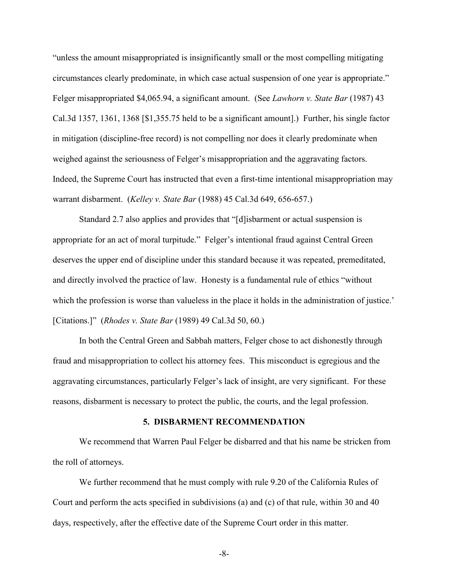"unless the amount misappropriated is insignificantly small or the most compelling mitigating circumstances clearly predominate, in which case actual suspension of one year is appropriate." Felger misappropriated \$4,065.94, a significant amount. (See *Lawhorn v. State Bar* (1987) 43 Cal.3d 1357, 1361, 1368 [\$1,355.75 held to be a significant amount].) Further, his single factor in mitigation (discipline-free record) is not compelling nor does it clearly predominate when weighed against the seriousness of Felger's misappropriation and the aggravating factors. Indeed, the Supreme Court has instructed that even a first-time intentional misappropriation may warrant disbarment. (*Kelley v. State Bar* (1988) 45 Cal.3d 649, 656-657.)

 Standard 2.7 also applies and provides that "[d]isbarment or actual suspension is appropriate for an act of moral turpitude." Felger's intentional fraud against Central Green deserves the upper end of discipline under this standard because it was repeated, premeditated, and directly involved the practice of law. Honesty is a fundamental rule of ethics "without which the profession is worse than valueless in the place it holds in the administration of justice.' [Citations.]" (*Rhodes v. State Bar* (1989) 49 Cal.3d 50, 60.)

 In both the Central Green and Sabbah matters, Felger chose to act dishonestly through fraud and misappropriation to collect his attorney fees. This misconduct is egregious and the aggravating circumstances, particularly Felger's lack of insight, are very significant. For these reasons, disbarment is necessary to protect the public, the courts, and the legal profession.

#### **5. DISBARMENT RECOMMENDATION**

We recommend that Warren Paul Felger be disbarred and that his name be stricken from the roll of attorneys.

We further recommend that he must comply with rule 9.20 of the California Rules of Court and perform the acts specified in subdivisions (a) and (c) of that rule, within 30 and 40 days, respectively, after the effective date of the Supreme Court order in this matter.

-8-